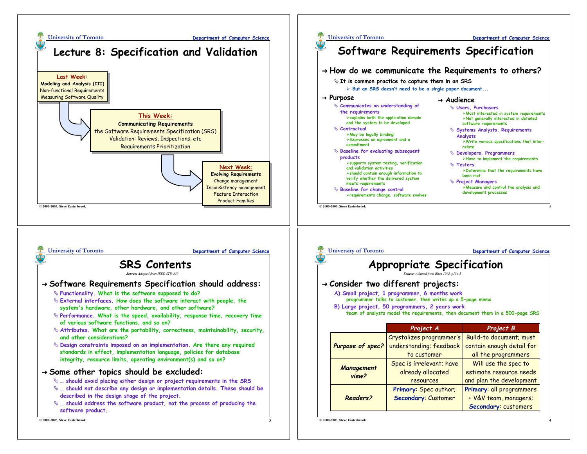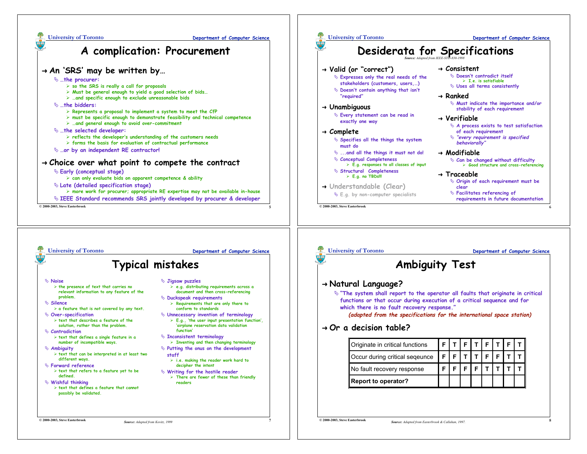

*Source: Adapted from Easterbrook & Callahan, 1997.*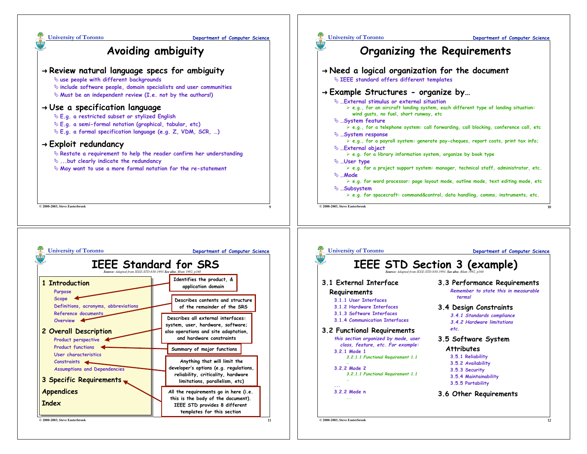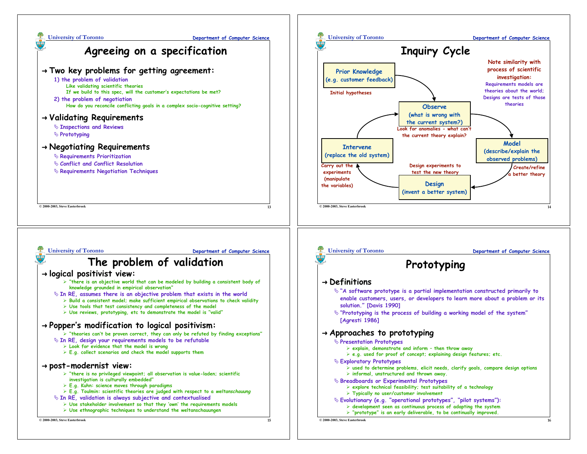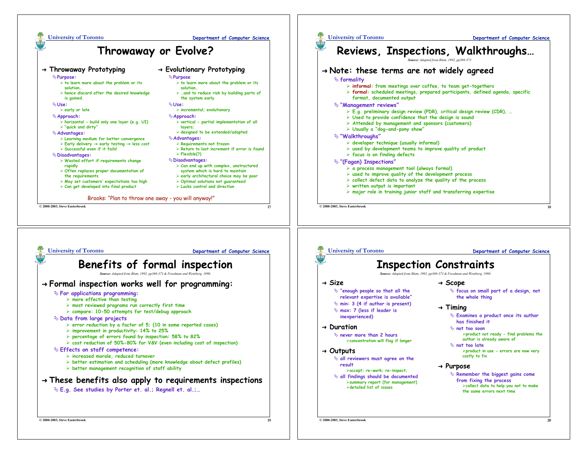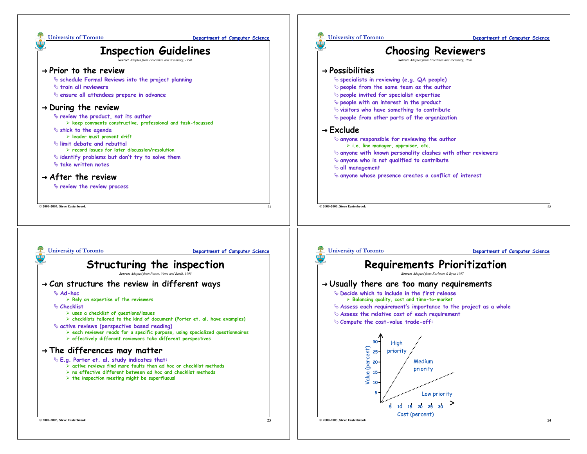